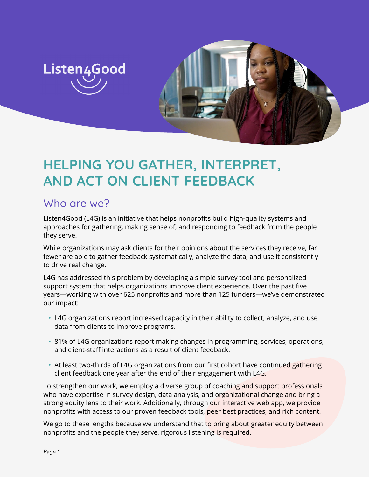



# HELPING YOU GATHER, INTERPRET, **AND ACT ON CLIENT FEEDBACK**

#### Who are we?

Listen4Good (L4G) is an initiative that helps nonprofits build high-quality systems and approaches for gathering, making sense of, and responding to feedback from the people they serve.

While organizations may ask clients for their opinions about the services they receive, far fewer are able to gather feedback systematically, analyze the data, and use it consistently to drive real change.

L4G has addressed this problem by developing a simple survey tool and personalized support system that helps organizations improve client experience. Over the past five years—working with over 625 nonprofits and more than 125 funders—we've demonstrated our impact:

- L4G organizations report increased capacity in their ability to collect, analyze, and use data from clients to improve programs.
- 81% of L4G organizations report making changes in programming, services, operations, and client-staff interactions as a result of client feedback.
- At least two-thirds of L4G organizations from our first cohort have continued gathering client feedback one year after the end of their engagement with L4G.

To strengthen our work, we employ a diverse group of coaching and support professionals who have expertise in survey design, data analysis, and organizational change and bring a strong equity lens to their work. Additionally, through our interactive web app, we provide nonprofits with access to our proven feedback tools, peer best practices, and rich content.

We go to these lengths because we understand that to bring about greater equity between nonprofits and the people they serve, rigorous listening is required.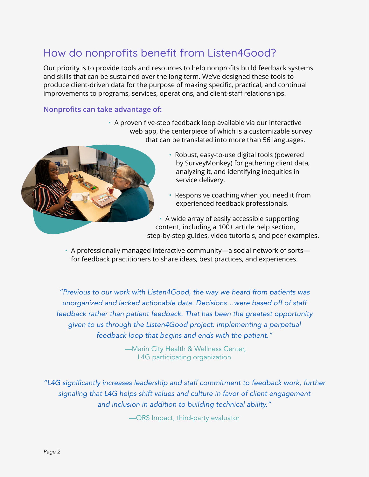## How do nonprofits benefit from Listen4Good?

Our priority is to provide tools and resources to help nonprofits build feedback systems and skills that can be sustained over the long term. We've designed these tools to produce client-driven data for the purpose of making specific, practical, and continual improvements to programs, services, operations, and client-staff relationships.

#### **Nonprofits can take advantage of:**

 • A proven five-step feedback loop available via our interactive web app, the centerpiece of which is a customizable survey that can be translated into more than 56 languages.



- Robust, easy-to-use digital tools (powered by SurveyMonkey) for gathering client data, analyzing it, and identifying inequities in service delivery.
- Responsive coaching when you need it from experienced feedback professionals.

 • A wide array of easily accessible supporting content, including a 100+ article help section, step-by-step guides, video tutorials, and peer examples.

 • A professionally managed interactive community—a social network of sorts for feedback practitioners to share ideas, best practices, and experiences.

*"Previous to our work with Listen4Good, the way we heard from patients was unorganized and lacked actionable data. Decisions…were based off of staff feedback rather than patient feedback. That has been the greatest opportunity given to us through the Listen4Good project: implementing a perpetual feedback loop that begins and ends with the patient."* 

> —Marin City Health & Wellness Center, L4G participating organization

*"L4G significantly increases leadership and staff commitment to feedback work, further signaling that L4G helps shift values and culture in favor of client engagement and inclusion in addition to building technical ability."* 

—ORS Impact, third-party evaluator